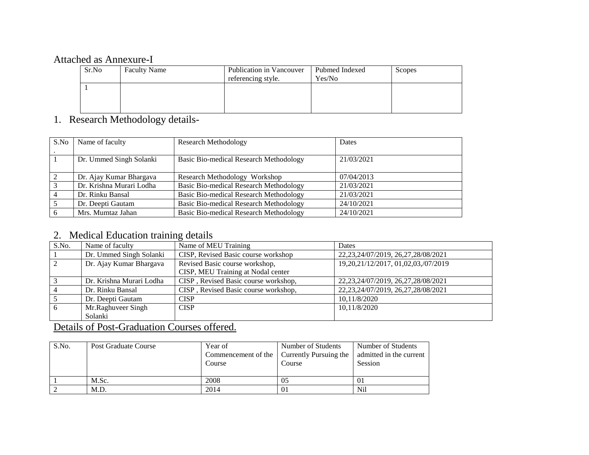## Attached as Annexure-I

| Sr.No | <b>Faculty Name</b> | Publication in Vancouver<br>referencing style. | Pubmed Indexed<br>Yes/No | Scopes |
|-------|---------------------|------------------------------------------------|--------------------------|--------|
|       |                     |                                                |                          |        |
|       |                     |                                                |                          |        |

## 1. Research Methodology details-

| S.No | Name of faculty          | <b>Research Methodology</b>                   | Dates      |
|------|--------------------------|-----------------------------------------------|------------|
|      | Dr. Ummed Singh Solanki  | Basic Bio-medical Research Methodology        | 21/03/2021 |
| 2    | Dr. Ajay Kumar Bhargava  | Research Methodology Workshop                 | 07/04/2013 |
| 3    | Dr. Krishna Murari Lodha | <b>Basic Bio-medical Research Methodology</b> | 21/03/2021 |
|      | Dr. Rinku Bansal         | <b>Basic Bio-medical Research Methodology</b> | 21/03/2021 |
|      | Dr. Deepti Gautam        | <b>Basic Bio-medical Research Methodology</b> | 24/10/2021 |
| 6    | Mrs. Mumtaz Jahan        | Basic Bio-medical Research Methodology        | 24/10/2021 |

## 2. Medical Education training details

| S.No.          | Name of faculty          | Name of MEU Training                 | Dates                                  |
|----------------|--------------------------|--------------------------------------|----------------------------------------|
|                | Dr. Ummed Singh Solanki  | CISP, Revised Basic course workshop  | 22, 23, 24/07/2019, 26, 27, 28/08/2021 |
| $\sqrt{2}$     | Dr. Ajay Kumar Bhargava  | Revised Basic course workshop,       | 19,20,21/12/2017, 01,02,03,/07/2019    |
|                |                          | CISP, MEU Training at Nodal center   |                                        |
| 3              | Dr. Krishna Murari Lodha | CISP, Revised Basic course workshop, | 22, 23, 24/07/2019, 26, 27, 28/08/2021 |
|                | Dr. Rinku Bansal         | CISP, Revised Basic course workshop, | 22, 23, 24/07/2019, 26, 27, 28/08/2021 |
|                | Dr. Deepti Gautam        | <b>CISP</b>                          | 10,11/8/2020                           |
| 6 <sup>6</sup> | Mr.Raghuveer Singh       | <b>CISP</b>                          | 10,11/8/2020                           |
|                | Solanki                  |                                      |                                        |

## Details of Post-Graduation Courses offered.

| S.No. | <b>Post Graduate Course</b> | Year of<br>Course | Number of Students<br>Commencement of the   Currently Pursuing the<br>Course | Number of Students<br>admitted in the current<br>Session |
|-------|-----------------------------|-------------------|------------------------------------------------------------------------------|----------------------------------------------------------|
|       | M.Sc.                       | 2008              | 05                                                                           | 01                                                       |
|       | M.D.                        | 2014              | 01                                                                           | Nil                                                      |